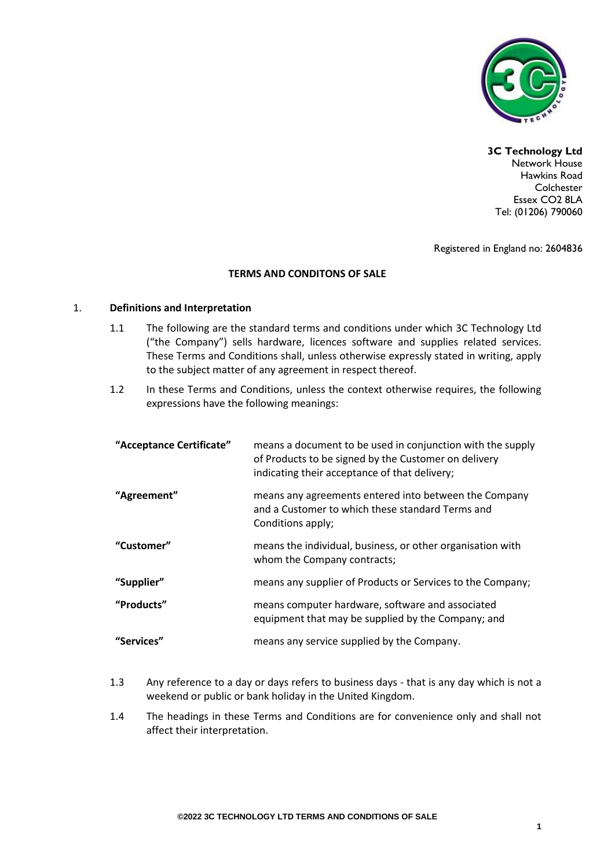

## **3C Technology Ltd**

Network House Hawkins Road **Colchester** Essex CO2 8LA Tel: (01206) 790060

Registered in England no: 2604836

## **TERMS AND CONDITONS OF SALE**

### 1. **Definitions and Interpretation**

- 1.1 The following are the standard terms and conditions under which 3C Technology Ltd ("the Company") sells hardware, licences software and supplies related services. These Terms and Conditions shall, unless otherwise expressly stated in writing, apply to the subject matter of any agreement in respect thereof.
- 1.2 In these Terms and Conditions, unless the context otherwise requires, the following expressions have the following meanings:

| "Acceptance Certificate" | means a document to be used in conjunction with the supply<br>of Products to be signed by the Customer on delivery<br>indicating their acceptance of that delivery; |
|--------------------------|---------------------------------------------------------------------------------------------------------------------------------------------------------------------|
| "Agreement"              | means any agreements entered into between the Company<br>and a Customer to which these standard Terms and<br>Conditions apply;                                      |
| "Customer"               | means the individual, business, or other organisation with<br>whom the Company contracts;                                                                           |
| "Supplier"               | means any supplier of Products or Services to the Company;                                                                                                          |
| "Products"               | means computer hardware, software and associated<br>equipment that may be supplied by the Company; and                                                              |
| "Services"               | means any service supplied by the Company.                                                                                                                          |

- 1.3 Any reference to a day or days refers to business days that is any day which is not a weekend or public or bank holiday in the United Kingdom.
- 1.4 The headings in these Terms and Conditions are for convenience only and shall not affect their interpretation.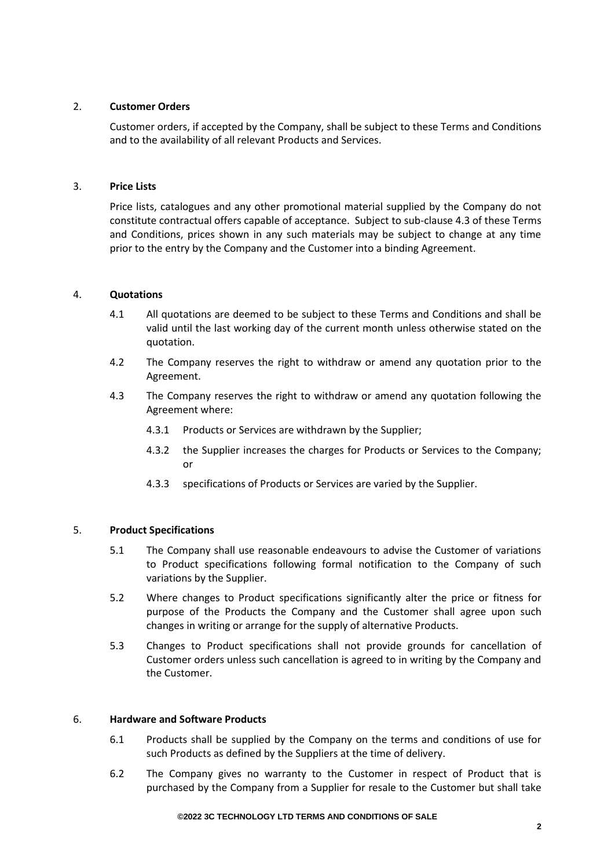# 2. **Customer Orders**

Customer orders, if accepted by the Company, shall be subject to these Terms and Conditions and to the availability of all relevant Products and Services.

## 3. **Price Lists**

Price lists, catalogues and any other promotional material supplied by the Company do not constitute contractual offers capable of acceptance. Subject to sub-clause 4.3 of these Terms and Conditions, prices shown in any such materials may be subject to change at any time prior to the entry by the Company and the Customer into a binding Agreement.

# 4. **Quotations**

- 4.1 All quotations are deemed to be subject to these Terms and Conditions and shall be valid until the last working day of the current month unless otherwise stated on the quotation.
- 4.2 The Company reserves the right to withdraw or amend any quotation prior to the Agreement.
- 4.3 The Company reserves the right to withdraw or amend any quotation following the Agreement where:
	- 4.3.1 Products or Services are withdrawn by the Supplier;
	- 4.3.2 the Supplier increases the charges for Products or Services to the Company; or
	- 4.3.3 specifications of Products or Services are varied by the Supplier.

## 5. **Product Specifications**

- 5.1 The Company shall use reasonable endeavours to advise the Customer of variations to Product specifications following formal notification to the Company of such variations by the Supplier.
- 5.2 Where changes to Product specifications significantly alter the price or fitness for purpose of the Products the Company and the Customer shall agree upon such changes in writing or arrange for the supply of alternative Products.
- 5.3 Changes to Product specifications shall not provide grounds for cancellation of Customer orders unless such cancellation is agreed to in writing by the Company and the Customer.

## 6. **Hardware and Software Products**

- 6.1 Products shall be supplied by the Company on the terms and conditions of use for such Products as defined by the Suppliers at the time of delivery.
- 6.2 The Company gives no warranty to the Customer in respect of Product that is purchased by the Company from a Supplier for resale to the Customer but shall take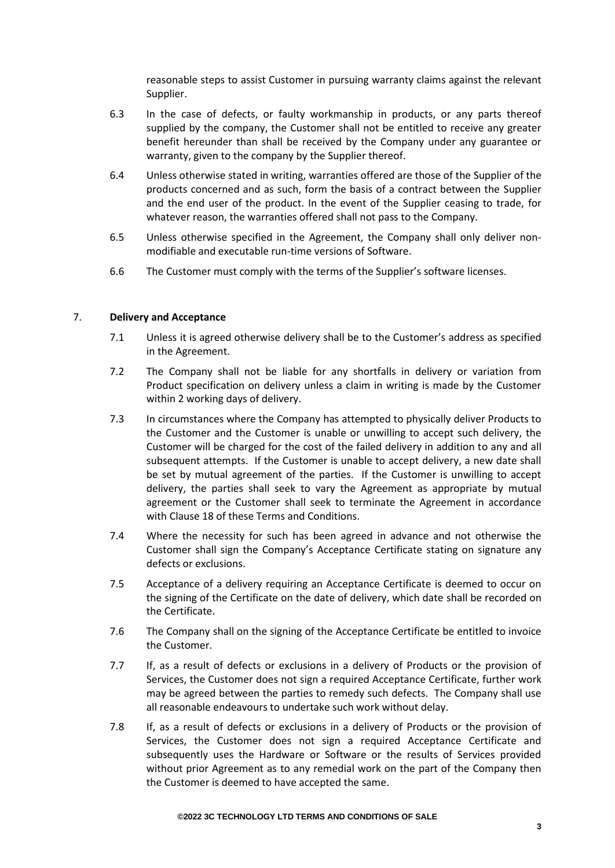reasonable steps to assist Customer in pursuing warranty claims against the relevant Supplier.

- 6.3 In the case of defects, or faulty workmanship in products, or any parts thereof supplied by the company, the Customer shall not be entitled to receive any greater benefit hereunder than shall be received by the Company under any guarantee or warranty, given to the company by the Supplier thereof.
- 6.4 Unless otherwise stated in writing, warranties offered are those of the Supplier of the products concerned and as such, form the basis of a contract between the Supplier and the end user of the product. In the event of the Supplier ceasing to trade, for whatever reason, the warranties offered shall not pass to the Company.
- 6.5 Unless otherwise specified in the Agreement, the Company shall only deliver nonmodifiable and executable run-time versions of Software.
- 6.6 The Customer must comply with the terms of the Supplier's software licenses.

## 7. **Delivery and Acceptance**

- 7.1 Unless it is agreed otherwise delivery shall be to the Customer's address as specified in the Agreement.
- 7.2 The Company shall not be liable for any shortfalls in delivery or variation from Product specification on delivery unless a claim in writing is made by the Customer within 2 working days of delivery.
- 7.3 In circumstances where the Company has attempted to physically deliver Products to the Customer and the Customer is unable or unwilling to accept such delivery, the Customer will be charged for the cost of the failed delivery in addition to any and all subsequent attempts. If the Customer is unable to accept delivery, a new date shall be set by mutual agreement of the parties. If the Customer is unwilling to accept delivery, the parties shall seek to vary the Agreement as appropriate by mutual agreement or the Customer shall seek to terminate the Agreement in accordance with Clause 18 of these Terms and Conditions.
- 7.4 Where the necessity for such has been agreed in advance and not otherwise the Customer shall sign the Company's Acceptance Certificate stating on signature any defects or exclusions.
- 7.5 Acceptance of a delivery requiring an Acceptance Certificate is deemed to occur on the signing of the Certificate on the date of delivery, which date shall be recorded on the Certificate.
- 7.6 The Company shall on the signing of the Acceptance Certificate be entitled to invoice the Customer.
- 7.7 If, as a result of defects or exclusions in a delivery of Products or the provision of Services, the Customer does not sign a required Acceptance Certificate, further work may be agreed between the parties to remedy such defects. The Company shall use all reasonable endeavours to undertake such work without delay.
- 7.8 If, as a result of defects or exclusions in a delivery of Products or the provision of Services, the Customer does not sign a required Acceptance Certificate and subsequently uses the Hardware or Software or the results of Services provided without prior Agreement as to any remedial work on the part of the Company then the Customer is deemed to have accepted the same.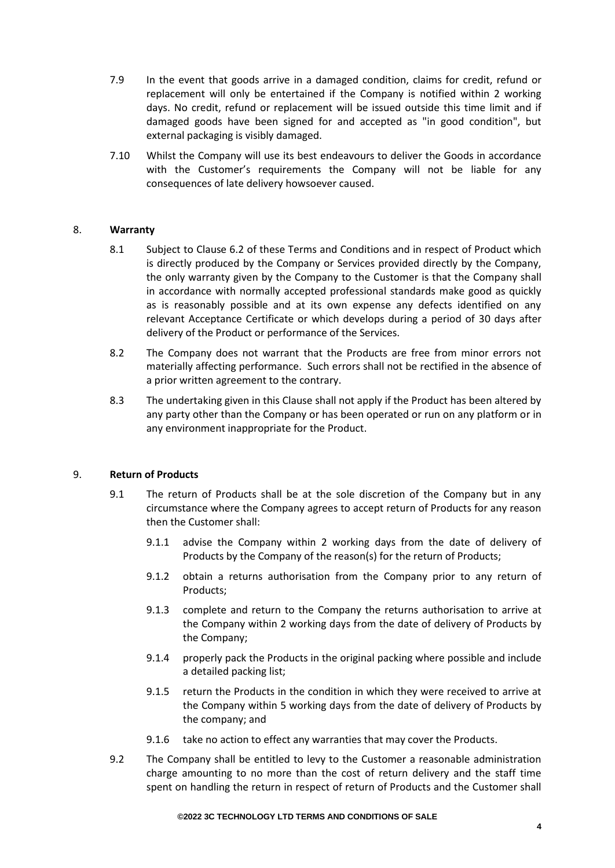- 7.9 In the event that goods arrive in a damaged condition, claims for credit, refund or replacement will only be entertained if the Company is notified within 2 working days. No credit, refund or replacement will be issued outside this time limit and if damaged goods have been signed for and accepted as "in good condition", but external packaging is visibly damaged.
- 7.10 Whilst the Company will use its best endeavours to deliver the Goods in accordance with the Customer's requirements the Company will not be liable for any consequences of late delivery howsoever caused.

# 8. **Warranty**

- 8.1 Subject to Clause 6.2 of these Terms and Conditions and in respect of Product which is directly produced by the Company or Services provided directly by the Company, the only warranty given by the Company to the Customer is that the Company shall in accordance with normally accepted professional standards make good as quickly as is reasonably possible and at its own expense any defects identified on any relevant Acceptance Certificate or which develops during a period of 30 days after delivery of the Product or performance of the Services.
- 8.2 The Company does not warrant that the Products are free from minor errors not materially affecting performance. Such errors shall not be rectified in the absence of a prior written agreement to the contrary.
- 8.3 The undertaking given in this Clause shall not apply if the Product has been altered by any party other than the Company or has been operated or run on any platform or in any environment inappropriate for the Product.

## 9. **Return of Products**

- 9.1 The return of Products shall be at the sole discretion of the Company but in any circumstance where the Company agrees to accept return of Products for any reason then the Customer shall:
	- 9.1.1 advise the Company within 2 working days from the date of delivery of Products by the Company of the reason(s) for the return of Products;
	- 9.1.2 obtain a returns authorisation from the Company prior to any return of Products;
	- 9.1.3 complete and return to the Company the returns authorisation to arrive at the Company within 2 working days from the date of delivery of Products by the Company;
	- 9.1.4 properly pack the Products in the original packing where possible and include a detailed packing list;
	- 9.1.5 return the Products in the condition in which they were received to arrive at the Company within 5 working days from the date of delivery of Products by the company; and
	- 9.1.6 take no action to effect any warranties that may cover the Products.
- 9.2 The Company shall be entitled to levy to the Customer a reasonable administration charge amounting to no more than the cost of return delivery and the staff time spent on handling the return in respect of return of Products and the Customer shall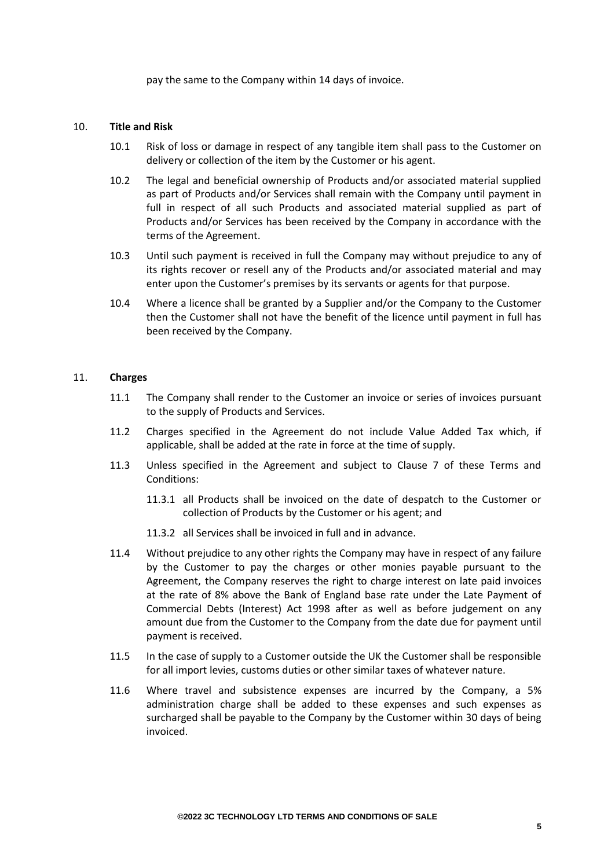pay the same to the Company within 14 days of invoice.

### 10. **Title and Risk**

- 10.1 Risk of loss or damage in respect of any tangible item shall pass to the Customer on delivery or collection of the item by the Customer or his agent.
- 10.2 The legal and beneficial ownership of Products and/or associated material supplied as part of Products and/or Services shall remain with the Company until payment in full in respect of all such Products and associated material supplied as part of Products and/or Services has been received by the Company in accordance with the terms of the Agreement.
- 10.3 Until such payment is received in full the Company may without prejudice to any of its rights recover or resell any of the Products and/or associated material and may enter upon the Customer's premises by its servants or agents for that purpose.
- 10.4 Where a licence shall be granted by a Supplier and/or the Company to the Customer then the Customer shall not have the benefit of the licence until payment in full has been received by the Company.

# 11. **Charges**

- 11.1 The Company shall render to the Customer an invoice or series of invoices pursuant to the supply of Products and Services.
- 11.2 Charges specified in the Agreement do not include Value Added Tax which, if applicable, shall be added at the rate in force at the time of supply.
- 11.3 Unless specified in the Agreement and subject to Clause 7 of these Terms and Conditions:
	- 11.3.1 all Products shall be invoiced on the date of despatch to the Customer or collection of Products by the Customer or his agent; and
	- 11.3.2 all Services shall be invoiced in full and in advance.
- 11.4 Without prejudice to any other rights the Company may have in respect of any failure by the Customer to pay the charges or other monies payable pursuant to the Agreement, the Company reserves the right to charge interest on late paid invoices at the rate of 8% above the Bank of England base rate under the Late Payment of Commercial Debts (Interest) Act 1998 after as well as before judgement on any amount due from the Customer to the Company from the date due for payment until payment is received.
- 11.5 In the case of supply to a Customer outside the UK the Customer shall be responsible for all import levies, customs duties or other similar taxes of whatever nature.
- 11.6 Where travel and subsistence expenses are incurred by the Company, a 5% administration charge shall be added to these expenses and such expenses as surcharged shall be payable to the Company by the Customer within 30 days of being invoiced.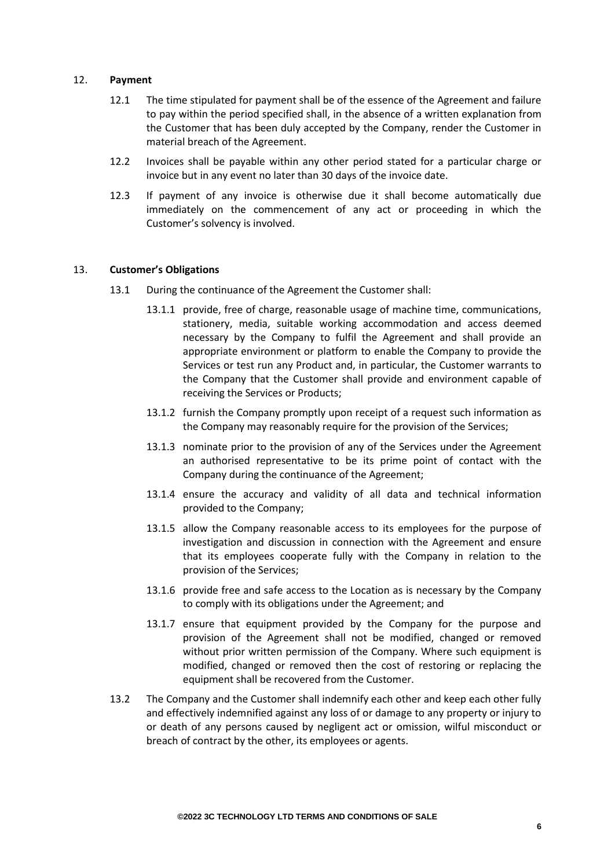### 12. **Payment**

- 12.1 The time stipulated for payment shall be of the essence of the Agreement and failure to pay within the period specified shall, in the absence of a written explanation from the Customer that has been duly accepted by the Company, render the Customer in material breach of the Agreement.
- 12.2 Invoices shall be payable within any other period stated for a particular charge or invoice but in any event no later than 30 days of the invoice date.
- 12.3 If payment of any invoice is otherwise due it shall become automatically due immediately on the commencement of any act or proceeding in which the Customer's solvency is involved.

#### 13. **Customer's Obligations**

- 13.1 During the continuance of the Agreement the Customer shall:
	- 13.1.1 provide, free of charge, reasonable usage of machine time, communications, stationery, media, suitable working accommodation and access deemed necessary by the Company to fulfil the Agreement and shall provide an appropriate environment or platform to enable the Company to provide the Services or test run any Product and, in particular, the Customer warrants to the Company that the Customer shall provide and environment capable of receiving the Services or Products;
	- 13.1.2 furnish the Company promptly upon receipt of a request such information as the Company may reasonably require for the provision of the Services;
	- 13.1.3 nominate prior to the provision of any of the Services under the Agreement an authorised representative to be its prime point of contact with the Company during the continuance of the Agreement;
	- 13.1.4 ensure the accuracy and validity of all data and technical information provided to the Company;
	- 13.1.5 allow the Company reasonable access to its employees for the purpose of investigation and discussion in connection with the Agreement and ensure that its employees cooperate fully with the Company in relation to the provision of the Services;
	- 13.1.6 provide free and safe access to the Location as is necessary by the Company to comply with its obligations under the Agreement; and
	- 13.1.7 ensure that equipment provided by the Company for the purpose and provision of the Agreement shall not be modified, changed or removed without prior written permission of the Company. Where such equipment is modified, changed or removed then the cost of restoring or replacing the equipment shall be recovered from the Customer.
- 13.2 The Company and the Customer shall indemnify each other and keep each other fully and effectively indemnified against any loss of or damage to any property or injury to or death of any persons caused by negligent act or omission, wilful misconduct or breach of contract by the other, its employees or agents.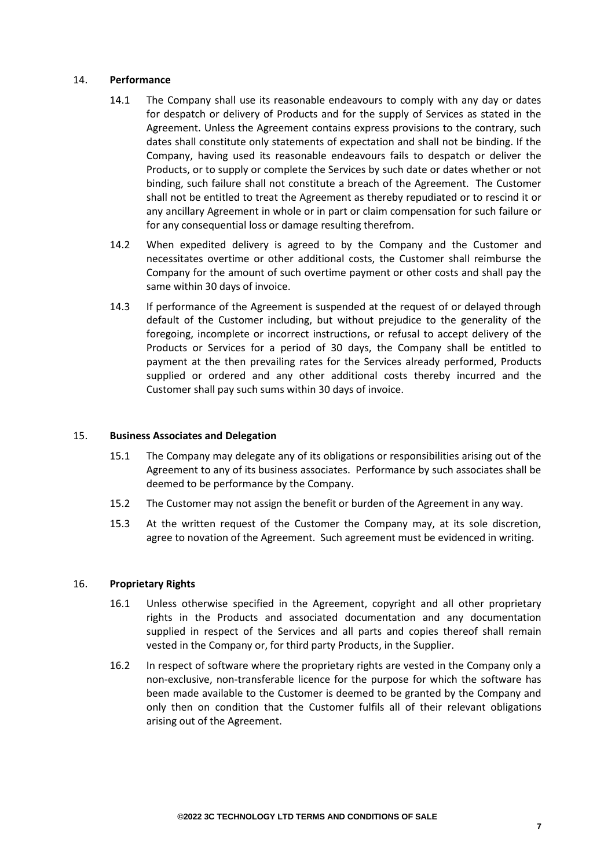### 14. **Performance**

- 14.1 The Company shall use its reasonable endeavours to comply with any day or dates for despatch or delivery of Products and for the supply of Services as stated in the Agreement. Unless the Agreement contains express provisions to the contrary, such dates shall constitute only statements of expectation and shall not be binding. If the Company, having used its reasonable endeavours fails to despatch or deliver the Products, or to supply or complete the Services by such date or dates whether or not binding, such failure shall not constitute a breach of the Agreement. The Customer shall not be entitled to treat the Agreement as thereby repudiated or to rescind it or any ancillary Agreement in whole or in part or claim compensation for such failure or for any consequential loss or damage resulting therefrom.
- 14.2 When expedited delivery is agreed to by the Company and the Customer and necessitates overtime or other additional costs, the Customer shall reimburse the Company for the amount of such overtime payment or other costs and shall pay the same within 30 days of invoice.
- 14.3 If performance of the Agreement is suspended at the request of or delayed through default of the Customer including, but without prejudice to the generality of the foregoing, incomplete or incorrect instructions, or refusal to accept delivery of the Products or Services for a period of 30 days, the Company shall be entitled to payment at the then prevailing rates for the Services already performed, Products supplied or ordered and any other additional costs thereby incurred and the Customer shall pay such sums within 30 days of invoice.

## 15. **Business Associates and Delegation**

- 15.1 The Company may delegate any of its obligations or responsibilities arising out of the Agreement to any of its business associates. Performance by such associates shall be deemed to be performance by the Company.
- 15.2 The Customer may not assign the benefit or burden of the Agreement in any way.
- 15.3 At the written request of the Customer the Company may, at its sole discretion, agree to novation of the Agreement. Such agreement must be evidenced in writing.

## 16. **Proprietary Rights**

- 16.1 Unless otherwise specified in the Agreement, copyright and all other proprietary rights in the Products and associated documentation and any documentation supplied in respect of the Services and all parts and copies thereof shall remain vested in the Company or, for third party Products, in the Supplier.
- 16.2 In respect of software where the proprietary rights are vested in the Company only a non-exclusive, non-transferable licence for the purpose for which the software has been made available to the Customer is deemed to be granted by the Company and only then on condition that the Customer fulfils all of their relevant obligations arising out of the Agreement.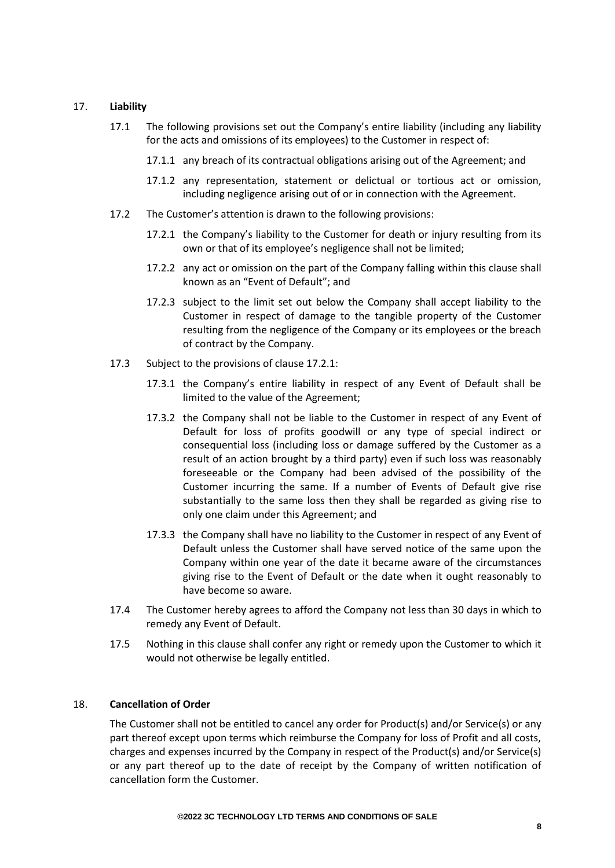## 17. **Liability**

- 17.1 The following provisions set out the Company's entire liability (including any liability for the acts and omissions of its employees) to the Customer in respect of:
	- 17.1.1 any breach of its contractual obligations arising out of the Agreement; and
	- 17.1.2 any representation, statement or delictual or tortious act or omission, including negligence arising out of or in connection with the Agreement.
- 17.2 The Customer's attention is drawn to the following provisions:
	- 17.2.1 the Company's liability to the Customer for death or injury resulting from its own or that of its employee's negligence shall not be limited;
	- 17.2.2 any act or omission on the part of the Company falling within this clause shall known as an "Event of Default"; and
	- 17.2.3 subject to the limit set out below the Company shall accept liability to the Customer in respect of damage to the tangible property of the Customer resulting from the negligence of the Company or its employees or the breach of contract by the Company.
- 17.3 Subject to the provisions of clause 17.2.1:
	- 17.3.1 the Company's entire liability in respect of any Event of Default shall be limited to the value of the Agreement;
	- 17.3.2 the Company shall not be liable to the Customer in respect of any Event of Default for loss of profits goodwill or any type of special indirect or consequential loss (including loss or damage suffered by the Customer as a result of an action brought by a third party) even if such loss was reasonably foreseeable or the Company had been advised of the possibility of the Customer incurring the same. If a number of Events of Default give rise substantially to the same loss then they shall be regarded as giving rise to only one claim under this Agreement; and
	- 17.3.3 the Company shall have no liability to the Customer in respect of any Event of Default unless the Customer shall have served notice of the same upon the Company within one year of the date it became aware of the circumstances giving rise to the Event of Default or the date when it ought reasonably to have become so aware.
- 17.4 The Customer hereby agrees to afford the Company not less than 30 days in which to remedy any Event of Default.
- 17.5 Nothing in this clause shall confer any right or remedy upon the Customer to which it would not otherwise be legally entitled.

## 18. **Cancellation of Order**

The Customer shall not be entitled to cancel any order for Product(s) and/or Service(s) or any part thereof except upon terms which reimburse the Company for loss of Profit and all costs, charges and expenses incurred by the Company in respect of the Product(s) and/or Service(s) or any part thereof up to the date of receipt by the Company of written notification of cancellation form the Customer.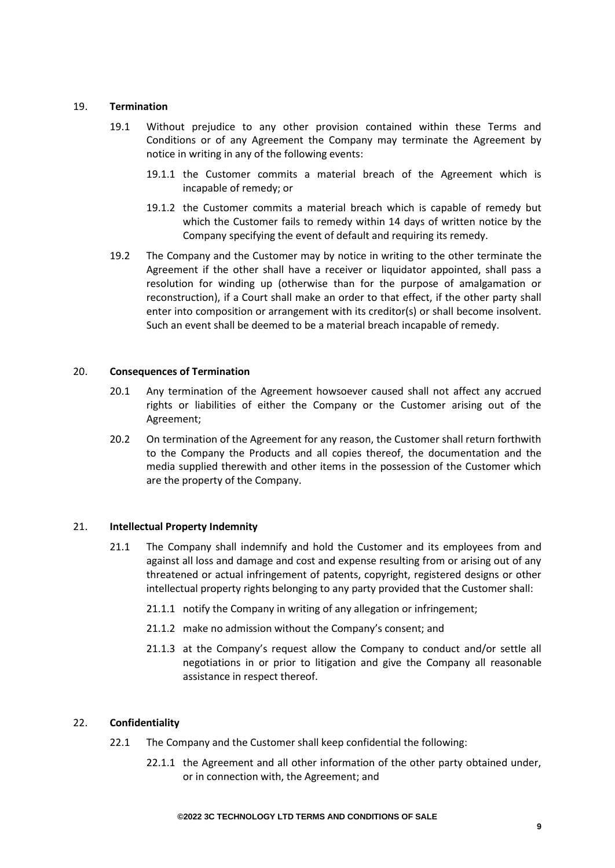### 19. **Termination**

- 19.1 Without prejudice to any other provision contained within these Terms and Conditions or of any Agreement the Company may terminate the Agreement by notice in writing in any of the following events:
	- 19.1.1 the Customer commits a material breach of the Agreement which is incapable of remedy; or
	- 19.1.2 the Customer commits a material breach which is capable of remedy but which the Customer fails to remedy within 14 days of written notice by the Company specifying the event of default and requiring its remedy.
- 19.2 The Company and the Customer may by notice in writing to the other terminate the Agreement if the other shall have a receiver or liquidator appointed, shall pass a resolution for winding up (otherwise than for the purpose of amalgamation or reconstruction), if a Court shall make an order to that effect, if the other party shall enter into composition or arrangement with its creditor(s) or shall become insolvent. Such an event shall be deemed to be a material breach incapable of remedy.

### 20. **Consequences of Termination**

- 20.1 Any termination of the Agreement howsoever caused shall not affect any accrued rights or liabilities of either the Company or the Customer arising out of the Agreement;
- 20.2 On termination of the Agreement for any reason, the Customer shall return forthwith to the Company the Products and all copies thereof, the documentation and the media supplied therewith and other items in the possession of the Customer which are the property of the Company.

## 21. **Intellectual Property Indemnity**

- 21.1 The Company shall indemnify and hold the Customer and its employees from and against all loss and damage and cost and expense resulting from or arising out of any threatened or actual infringement of patents, copyright, registered designs or other intellectual property rights belonging to any party provided that the Customer shall:
	- 21.1.1 notify the Company in writing of any allegation or infringement;
	- 21.1.2 make no admission without the Company's consent; and
	- 21.1.3 at the Company's request allow the Company to conduct and/or settle all negotiations in or prior to litigation and give the Company all reasonable assistance in respect thereof.

## 22. **Confidentiality**

- 22.1 The Company and the Customer shall keep confidential the following:
	- 22.1.1 the Agreement and all other information of the other party obtained under, or in connection with, the Agreement; and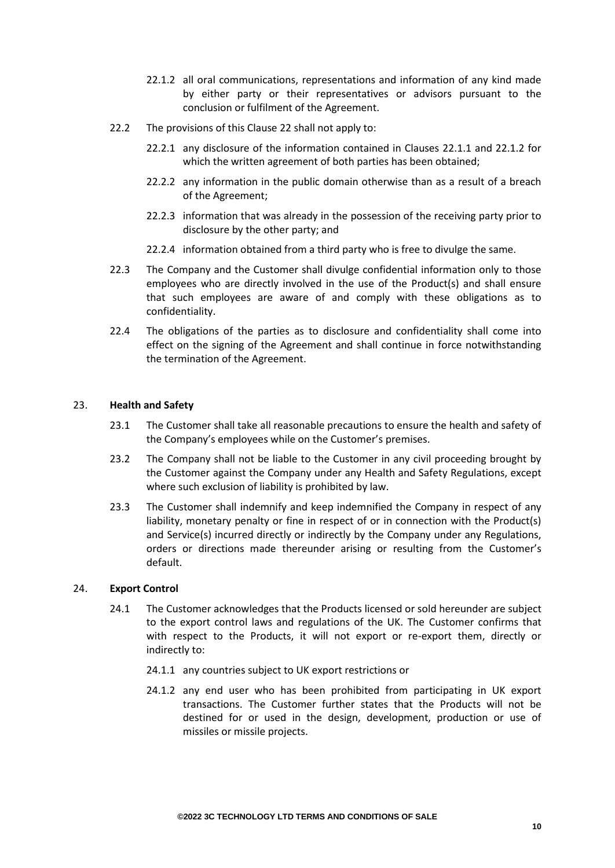- 22.1.2 all oral communications, representations and information of any kind made by either party or their representatives or advisors pursuant to the conclusion or fulfilment of the Agreement.
- 22.2 The provisions of this Clause 22 shall not apply to:
	- 22.2.1 any disclosure of the information contained in Clauses 22.1.1 and 22.1.2 for which the written agreement of both parties has been obtained;
	- 22.2.2 any information in the public domain otherwise than as a result of a breach of the Agreement;
	- 22.2.3 information that was already in the possession of the receiving party prior to disclosure by the other party; and
	- 22.2.4 information obtained from a third party who is free to divulge the same.
- 22.3 The Company and the Customer shall divulge confidential information only to those employees who are directly involved in the use of the Product(s) and shall ensure that such employees are aware of and comply with these obligations as to confidentiality.
- 22.4 The obligations of the parties as to disclosure and confidentiality shall come into effect on the signing of the Agreement and shall continue in force notwithstanding the termination of the Agreement.

#### 23. **Health and Safety**

- 23.1 The Customer shall take all reasonable precautions to ensure the health and safety of the Company's employees while on the Customer's premises.
- 23.2 The Company shall not be liable to the Customer in any civil proceeding brought by the Customer against the Company under any Health and Safety Regulations, except where such exclusion of liability is prohibited by law.
- 23.3 The Customer shall indemnify and keep indemnified the Company in respect of any liability, monetary penalty or fine in respect of or in connection with the Product(s) and Service(s) incurred directly or indirectly by the Company under any Regulations, orders or directions made thereunder arising or resulting from the Customer's default.

## 24. **Export Control**

- 24.1 The Customer acknowledges that the Products licensed or sold hereunder are subject to the export control laws and regulations of the UK. The Customer confirms that with respect to the Products, it will not export or re-export them, directly or indirectly to:
	- 24.1.1 any countries subject to UK export restrictions or
	- 24.1.2 any end user who has been prohibited from participating in UK export transactions. The Customer further states that the Products will not be destined for or used in the design, development, production or use of missiles or missile projects.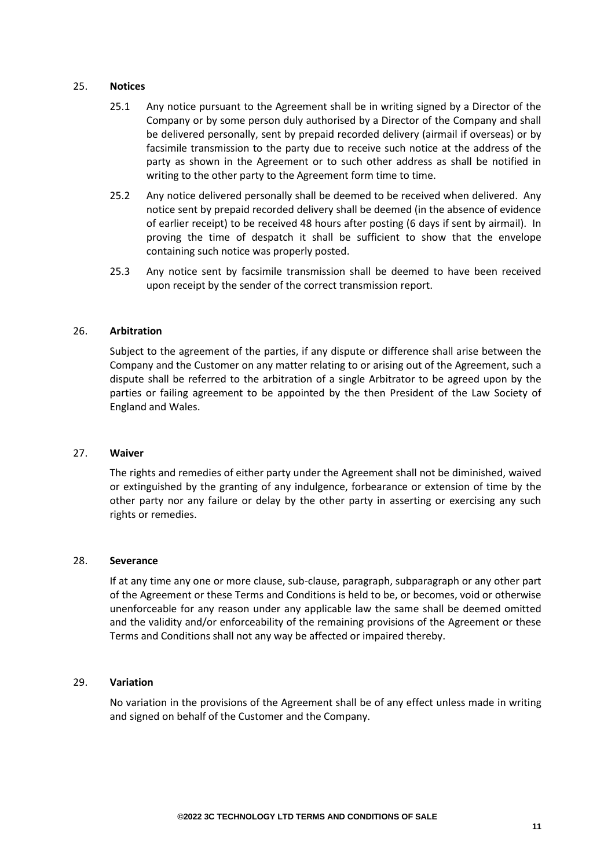#### 25. **Notices**

- 25.1 Any notice pursuant to the Agreement shall be in writing signed by a Director of the Company or by some person duly authorised by a Director of the Company and shall be delivered personally, sent by prepaid recorded delivery (airmail if overseas) or by facsimile transmission to the party due to receive such notice at the address of the party as shown in the Agreement or to such other address as shall be notified in writing to the other party to the Agreement form time to time.
- 25.2 Any notice delivered personally shall be deemed to be received when delivered. Any notice sent by prepaid recorded delivery shall be deemed (in the absence of evidence of earlier receipt) to be received 48 hours after posting (6 days if sent by airmail). In proving the time of despatch it shall be sufficient to show that the envelope containing such notice was properly posted.
- 25.3 Any notice sent by facsimile transmission shall be deemed to have been received upon receipt by the sender of the correct transmission report.

## 26. **Arbitration**

Subject to the agreement of the parties, if any dispute or difference shall arise between the Company and the Customer on any matter relating to or arising out of the Agreement, such a dispute shall be referred to the arbitration of a single Arbitrator to be agreed upon by the parties or failing agreement to be appointed by the then President of the Law Society of England and Wales.

#### 27. **Waiver**

The rights and remedies of either party under the Agreement shall not be diminished, waived or extinguished by the granting of any indulgence, forbearance or extension of time by the other party nor any failure or delay by the other party in asserting or exercising any such rights or remedies.

### 28. **Severance**

If at any time any one or more clause, sub-clause, paragraph, subparagraph or any other part of the Agreement or these Terms and Conditions is held to be, or becomes, void or otherwise unenforceable for any reason under any applicable law the same shall be deemed omitted and the validity and/or enforceability of the remaining provisions of the Agreement or these Terms and Conditions shall not any way be affected or impaired thereby.

#### 29. **Variation**

No variation in the provisions of the Agreement shall be of any effect unless made in writing and signed on behalf of the Customer and the Company.